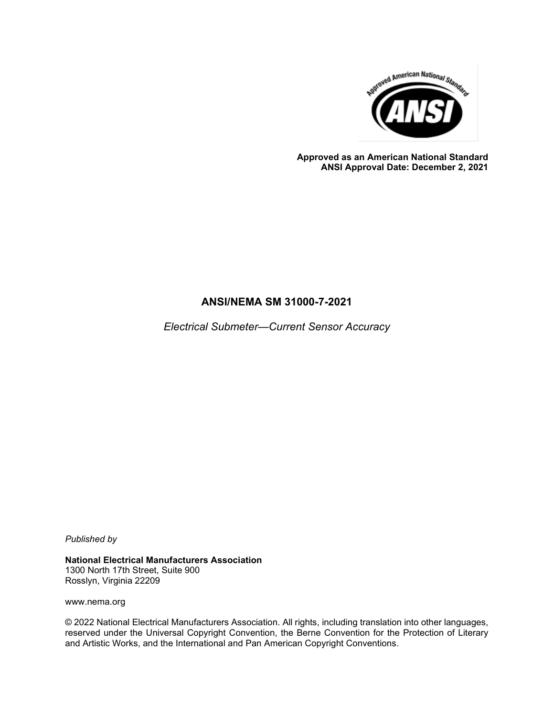

**Approved as an American National Standard ANSI Approval Date: December 2, 2021**

# **ANSI/NEMA SM 31000-7-2021**

*Electrical Submeter—Current Sensor Accuracy*

*Published by*

**National Electrical Manufacturers Association** 1300 North 17th Street, Suite 900 Rosslyn, Virginia 22209

[www.nema.org](http://www.nema.org/)

© 2022 National Electrical Manufacturers Association. All rights, including translation into other languages, reserved under the Universal Copyright Convention, the Berne Convention for the Protection of Literary and Artistic Works, and the International and Pan American Copyright Conventions.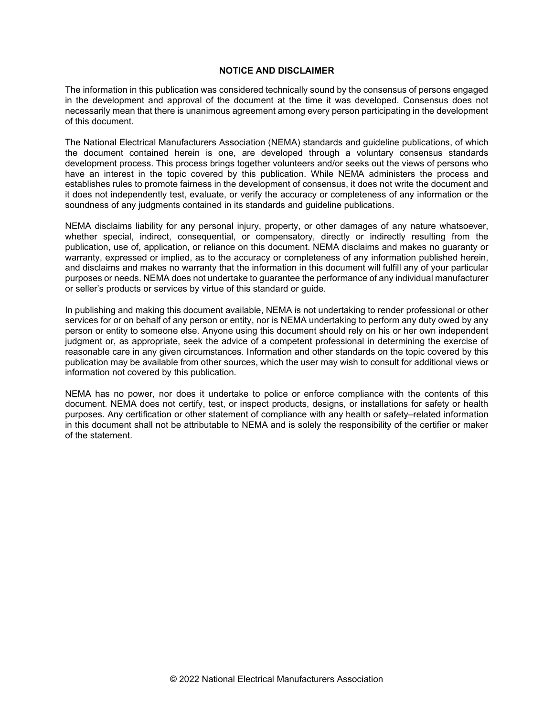### **NOTICE AND DISCLAIMER**

The information in this publication was considered technically sound by the consensus of persons engaged in the development and approval of the document at the time it was developed. Consensus does not necessarily mean that there is unanimous agreement among every person participating in the development of this document.

The National Electrical Manufacturers Association (NEMA) standards and guideline publications, of which the document contained herein is one, are developed through a voluntary consensus standards development process. This process brings together volunteers and/or seeks out the views of persons who have an interest in the topic covered by this publication. While NEMA administers the process and establishes rules to promote fairness in the development of consensus, it does not write the document and it does not independently test, evaluate, or verify the accuracy or completeness of any information or the soundness of any judgments contained in its standards and guideline publications.

NEMA disclaims liability for any personal injury, property, or other damages of any nature whatsoever, whether special, indirect, consequential, or compensatory, directly or indirectly resulting from the publication, use of, application, or reliance on this document. NEMA disclaims and makes no guaranty or warranty, expressed or implied, as to the accuracy or completeness of any information published herein, and disclaims and makes no warranty that the information in this document will fulfill any of your particular purposes or needs. NEMA does not undertake to guarantee the performance of any individual manufacturer or seller's products or services by virtue of this standard or guide.

In publishing and making this document available, NEMA is not undertaking to render professional or other services for or on behalf of any person or entity, nor is NEMA undertaking to perform any duty owed by any person or entity to someone else. Anyone using this document should rely on his or her own independent judgment or, as appropriate, seek the advice of a competent professional in determining the exercise of reasonable care in any given circumstances. Information and other standards on the topic covered by this publication may be available from other sources, which the user may wish to consult for additional views or information not covered by this publication.

NEMA has no power, nor does it undertake to police or enforce compliance with the contents of this document. NEMA does not certify, test, or inspect products, designs, or installations for safety or health purposes. Any certification or other statement of compliance with any health or safety–related information in this document shall not be attributable to NEMA and is solely the responsibility of the certifier or maker of the statement.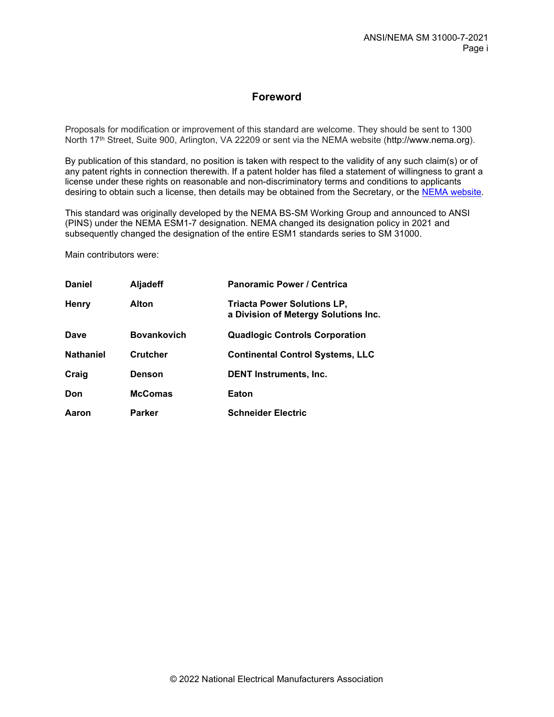## **Foreword**

<span id="page-2-0"></span>Proposals for modification or improvement of this standard are welcome. They should be sent to 1300 North 17<sup>th</sup> Street, Suite 900, Arlington, VA 22209 or sent via the NEMA website [\(http://www.nema.org\)](http://www.nema.org/).

By publication of this standard, no position is taken with respect to the validity of any such claim(s) or of any patent rights in connection therewith. If a patent holder has filed a statement of willingness to grant a license under these rights on reasonable and non-discriminatory terms and conditions to applicants desiring to obtain such a license, then details may be obtained from the Secretary, or the [NEMA website.](https://www.nema.org/standards/patent-disclosure-policy)

This standard was originally developed by the NEMA BS-SM Working Group and announced to ANSI (PINS) under the NEMA ESM1-7 designation. NEMA changed its designation policy in 2021 and subsequently changed the designation of the entire ESM1 standards series to SM 31000.

Main contributors were:

| <b>Daniel</b>    | <b>Aljadeff</b>    | <b>Panoramic Power / Centrica</b>                                          |
|------------------|--------------------|----------------------------------------------------------------------------|
| <b>Henry</b>     | Alton              | <b>Triacta Power Solutions LP,</b><br>a Division of Metergy Solutions Inc. |
| Dave             | <b>Bovankovich</b> | <b>Quadlogic Controls Corporation</b>                                      |
| <b>Nathaniel</b> | <b>Crutcher</b>    | <b>Continental Control Systems, LLC</b>                                    |
| Craig            | <b>Denson</b>      | <b>DENT Instruments, Inc.</b>                                              |
| Don              | <b>McComas</b>     | Eaton                                                                      |
| Aaron            | <b>Parker</b>      | <b>Schneider Electric</b>                                                  |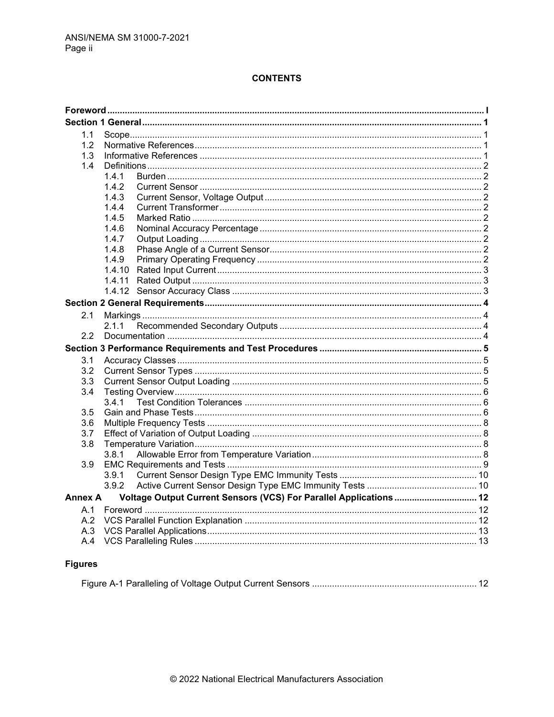### **CONTENTS**

| 1.1            |                                                                    |  |  |
|----------------|--------------------------------------------------------------------|--|--|
| 1.2            |                                                                    |  |  |
| 1.3            |                                                                    |  |  |
| 1.4            |                                                                    |  |  |
|                | 1.4.1                                                              |  |  |
|                | 1.4.2                                                              |  |  |
|                | 1.4.3                                                              |  |  |
|                | 1.4.4                                                              |  |  |
|                | 1.4.5                                                              |  |  |
|                | 1.4.6                                                              |  |  |
|                | 1.4.7                                                              |  |  |
|                | 1.4.8                                                              |  |  |
|                | 1.4.9                                                              |  |  |
|                | 1.4.10                                                             |  |  |
|                | 1.4.11                                                             |  |  |
|                |                                                                    |  |  |
|                |                                                                    |  |  |
| 2.1            |                                                                    |  |  |
|                | 2.1.1                                                              |  |  |
| 2.2            |                                                                    |  |  |
|                |                                                                    |  |  |
| 3.1            |                                                                    |  |  |
| 3.2            |                                                                    |  |  |
| 3.3            |                                                                    |  |  |
| 3.4            |                                                                    |  |  |
|                | 341                                                                |  |  |
| 3.5            |                                                                    |  |  |
| 3.6            |                                                                    |  |  |
| 3.7            |                                                                    |  |  |
| 3.8            |                                                                    |  |  |
|                | 3.8.1                                                              |  |  |
| 3.9            |                                                                    |  |  |
|                | 3.9.1                                                              |  |  |
|                | 3.9.2                                                              |  |  |
| <b>Annex A</b> | Voltage Output Current Sensors (VCS) For Parallel Applications  12 |  |  |
| A.1            |                                                                    |  |  |
|                |                                                                    |  |  |
| A.3            |                                                                    |  |  |
| A.4            |                                                                    |  |  |
|                |                                                                    |  |  |

## **Figures**

|--|--|--|--|--|--|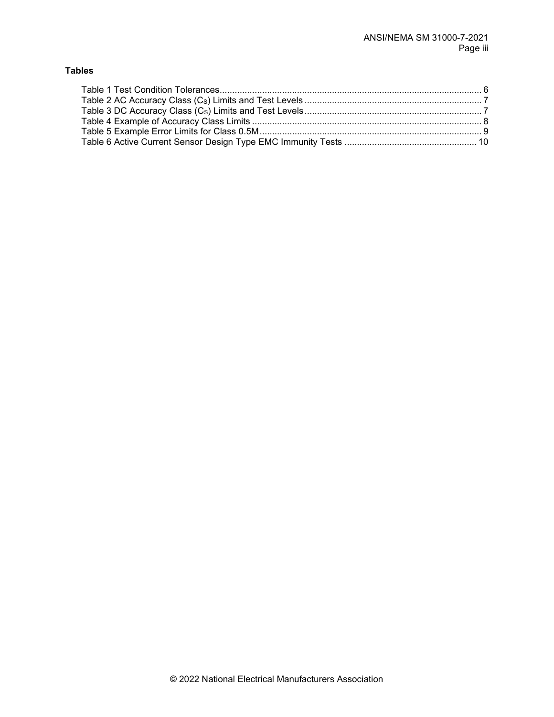## **Tables**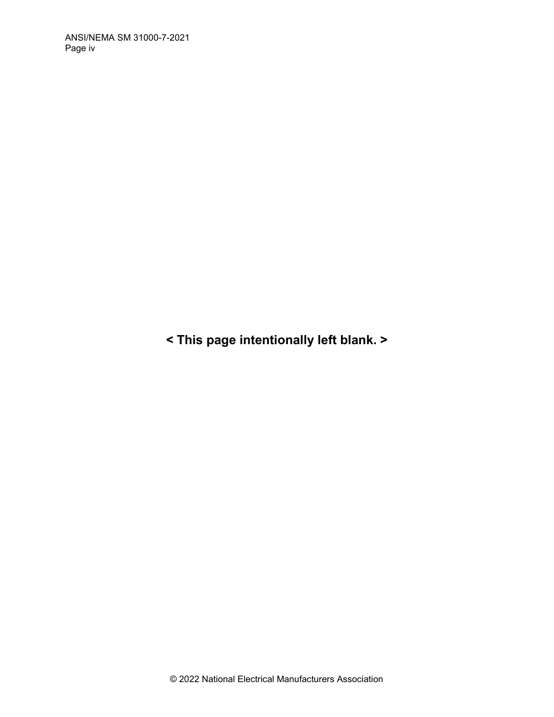**< This page intentionally left blank. >**